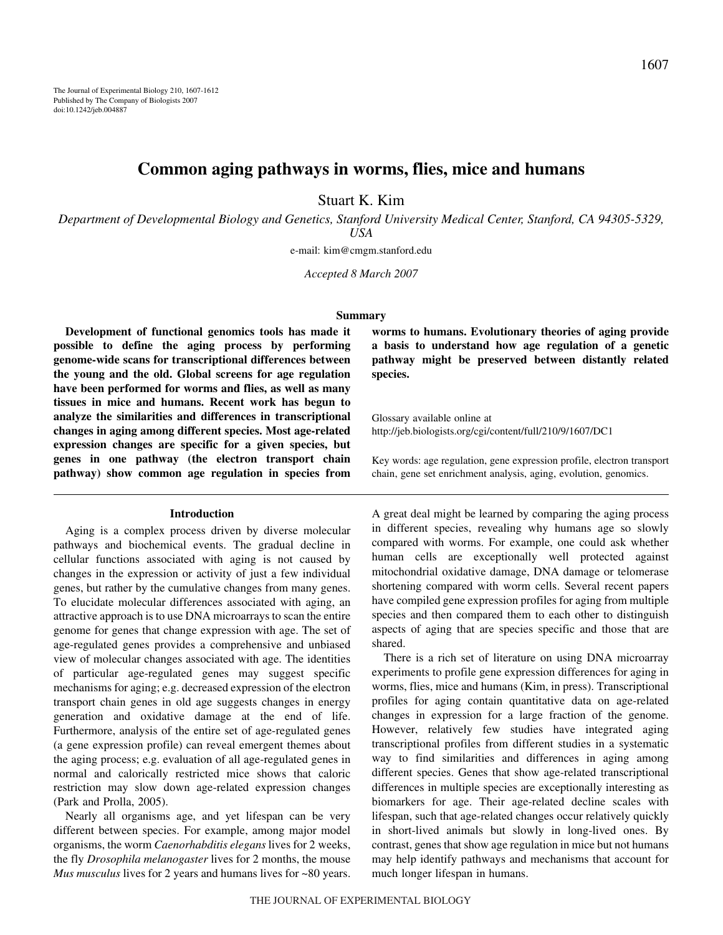# **Common aging pathways in worms, flies, mice and humans**

Stuart K. Kim

*Department of Developmental Biology and Genetics, Stanford University Medical Center, Stanford, CA 94305-5329, USA*

e-mail: kim@cmgm.stanford.edu

*Accepted 8 March 2007*

#### **Summary**

**Development of functional genomics tools has made it possible to define the aging process by performing genome-wide scans for transcriptional differences between the young and the old. Global screens for age regulation have been performed for worms and flies, as well as many tissues in mice and humans. Recent work has begun to analyze the similarities and differences in transcriptional changes in aging among different species. Most age-related expression changes are specific for a given species, but genes in one pathway (the electron transport chain pathway) show common age regulation in species from**

### **Introduction**

Aging is a complex process driven by diverse molecular pathways and biochemical events. The gradual decline in cellular functions associated with aging is not caused by changes in the expression or activity of just a few individual genes, but rather by the cumulative changes from many genes. To elucidate molecular differences associated with aging, an attractive approach is to use DNA microarrays to scan the entire genome for genes that change expression with age. The set of age-regulated genes provides a comprehensive and unbiased view of molecular changes associated with age. The identities of particular age-regulated genes may suggest specific mechanisms for aging; e.g. decreased expression of the electron transport chain genes in old age suggests changes in energy generation and oxidative damage at the end of life. Furthermore, analysis of the entire set of age-regulated genes (a gene expression profile) can reveal emergent themes about the aging process; e.g. evaluation of all age-regulated genes in normal and calorically restricted mice shows that caloric restriction may slow down age-related expression changes (Park and Prolla, 2005).

Nearly all organisms age, and yet lifespan can be very different between species. For example, among major model organisms, the worm *Caenorhabditis elegans* lives for 2·weeks, the fly *Drosophila melanogaster* lives for 2 months, the mouse *Mus musculus* lives for 2 years and humans lives for ~80 years. **worms to humans. Evolutionary theories of aging provide a basis to understand how age regulation of a genetic pathway might be preserved between distantly related species.**

Glossary available online at http://jeb.biologists.org/cgi/content/full/210/9/1607/DC1

Key words: age regulation, gene expression profile, electron transport chain, gene set enrichment analysis, aging, evolution, genomics.

A great deal might be learned by comparing the aging process in different species, revealing why humans age so slowly compared with worms. For example, one could ask whether human cells are exceptionally well protected against mitochondrial oxidative damage, DNA damage or telomerase shortening compared with worm cells. Several recent papers have compiled gene expression profiles for aging from multiple species and then compared them to each other to distinguish aspects of aging that are species specific and those that are shared.

There is a rich set of literature on using DNA microarray experiments to profile gene expression differences for aging in worms, flies, mice and humans (Kim, in press). Transcriptional profiles for aging contain quantitative data on age-related changes in expression for a large fraction of the genome. However, relatively few studies have integrated aging transcriptional profiles from different studies in a systematic way to find similarities and differences in aging among different species. Genes that show age-related transcriptional differences in multiple species are exceptionally interesting as biomarkers for age. Their age-related decline scales with lifespan, such that age-related changes occur relatively quickly in short-lived animals but slowly in long-lived ones. By contrast, genes that show age regulation in mice but not humans may help identify pathways and mechanisms that account for much longer lifespan in humans.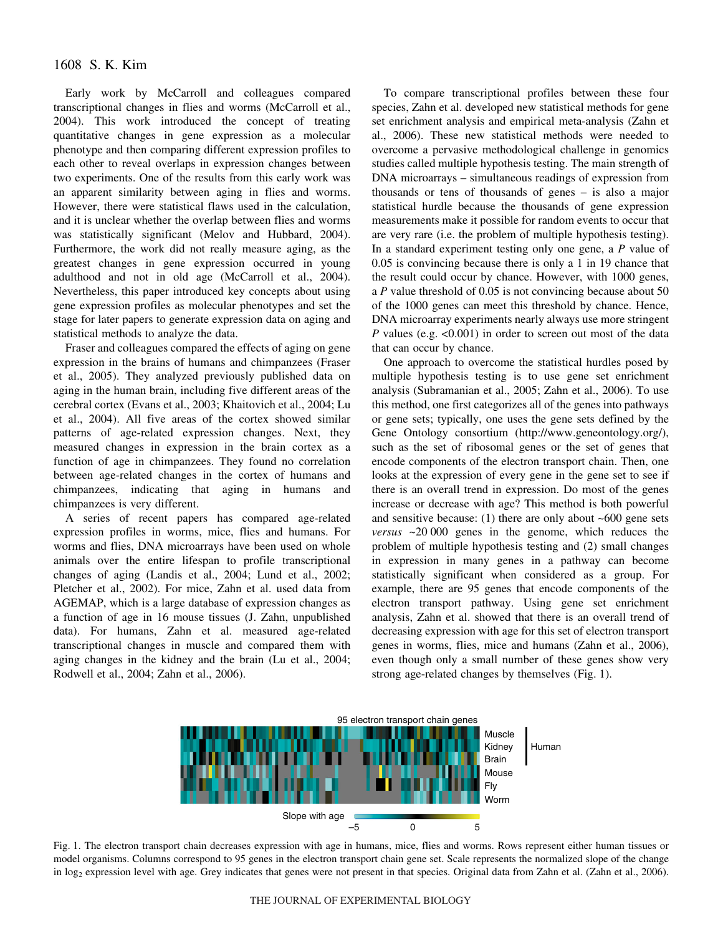Early work by McCarroll and colleagues compared transcriptional changes in flies and worms (McCarroll et al., 2004). This work introduced the concept of treating quantitative changes in gene expression as a molecular phenotype and then comparing different expression profiles to each other to reveal overlaps in expression changes between two experiments. One of the results from this early work was an apparent similarity between aging in flies and worms. However, there were statistical flaws used in the calculation, and it is unclear whether the overlap between flies and worms was statistically significant (Melov and Hubbard, 2004). Furthermore, the work did not really measure aging, as the greatest changes in gene expression occurred in young adulthood and not in old age (McCarroll et al., 2004). Nevertheless, this paper introduced key concepts about using gene expression profiles as molecular phenotypes and set the stage for later papers to generate expression data on aging and statistical methods to analyze the data.

Fraser and colleagues compared the effects of aging on gene expression in the brains of humans and chimpanzees (Fraser et al., 2005). They analyzed previously published data on aging in the human brain, including five different areas of the cerebral cortex (Evans et al., 2003; Khaitovich et al., 2004; Lu et al., 2004). All five areas of the cortex showed similar patterns of age-related expression changes. Next, they measured changes in expression in the brain cortex as a function of age in chimpanzees. They found no correlation between age-related changes in the cortex of humans and chimpanzees, indicating that aging in humans and chimpanzees is very different.

A series of recent papers has compared age-related expression profiles in worms, mice, flies and humans. For worms and flies, DNA microarrays have been used on whole animals over the entire lifespan to profile transcriptional changes of aging (Landis et al., 2004; Lund et al., 2002; Pletcher et al., 2002). For mice, Zahn et al. used data from AGEMAP, which is a large database of expression changes as a function of age in 16 mouse tissues (J. Zahn, unpublished data). For humans, Zahn et al. measured age-related transcriptional changes in muscle and compared them with aging changes in the kidney and the brain (Lu et al., 2004; Rodwell et al., 2004; Zahn et al., 2006).

To compare transcriptional profiles between these four species, Zahn et al. developed new statistical methods for gene set enrichment analysis and empirical meta-analysis (Zahn et al., 2006). These new statistical methods were needed to overcome a pervasive methodological challenge in genomics studies called multiple hypothesis testing. The main strength of DNA microarrays – simultaneous readings of expression from thousands or tens of thousands of genes – is also a major statistical hurdle because the thousands of gene expression measurements make it possible for random events to occur that are very rare (i.e. the problem of multiple hypothesis testing). In a standard experiment testing only one gene, a *P* value of 0.05 is convincing because there is only a 1 in 19 chance that the result could occur by chance. However, with 1000 genes, a *P* value threshold of 0.05 is not convincing because about 50 of the 1000 genes can meet this threshold by chance. Hence, DNA microarray experiments nearly always use more stringent *P* values (e.g. <0.001) in order to screen out most of the data that can occur by chance.

One approach to overcome the statistical hurdles posed by multiple hypothesis testing is to use gene set enrichment analysis (Subramanian et al., 2005; Zahn et al., 2006). To use this method, one first categorizes all of the genes into pathways or gene sets; typically, one uses the gene sets defined by the Gene Ontology consortium (http://www.geneontology.org/), such as the set of ribosomal genes or the set of genes that encode components of the electron transport chain. Then, one looks at the expression of every gene in the gene set to see if there is an overall trend in expression. Do most of the genes increase or decrease with age? This method is both powerful and sensitive because: (1) there are only about  $~600$  gene sets *versus*  $\sim$  20000 genes in the genome, which reduces the problem of multiple hypothesis testing and (2) small changes in expression in many genes in a pathway can become statistically significant when considered as a group. For example, there are 95 genes that encode components of the electron transport pathway. Using gene set enrichment analysis, Zahn et al. showed that there is an overall trend of decreasing expression with age for this set of electron transport genes in worms, flies, mice and humans (Zahn et al., 2006), even though only a small number of these genes show very strong age-related changes by themselves (Fig. 1).



Fig. 1. The electron transport chain decreases expression with age in humans, mice, flies and worms. Rows represent either human tissues or model organisms. Columns correspond to 95 genes in the electron transport chain gene set. Scale represents the normalized slope of the change in log2 expression level with age. Grey indicates that genes were not present in that species. Original data from Zahn et al. (Zahn et al., 2006).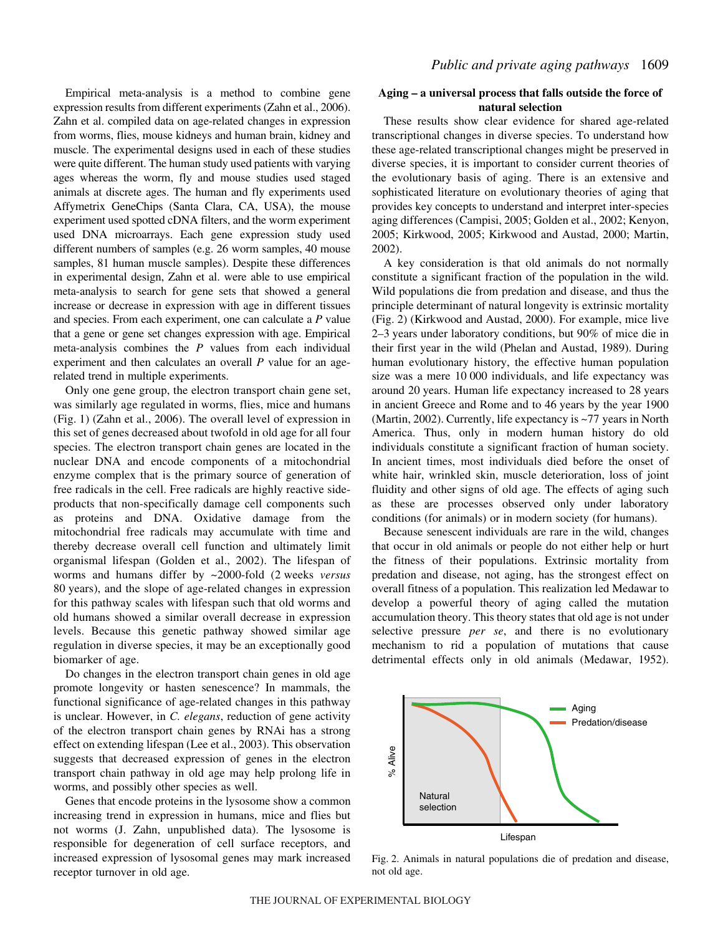Empirical meta-analysis is a method to combine gene expression results from different experiments (Zahn et al., 2006). Zahn et al. compiled data on age-related changes in expression from worms, flies, mouse kidneys and human brain, kidney and muscle. The experimental designs used in each of these studies were quite different. The human study used patients with varying ages whereas the worm, fly and mouse studies used staged animals at discrete ages. The human and fly experiments used Affymetrix GeneChips (Santa Clara, CA, USA), the mouse experiment used spotted cDNA filters, and the worm experiment used DNA microarrays. Each gene expression study used different numbers of samples (e.g. 26 worm samples, 40 mouse samples, 81 human muscle samples). Despite these differences in experimental design, Zahn et al. were able to use empirical meta-analysis to search for gene sets that showed a general increase or decrease in expression with age in different tissues and species. From each experiment, one can calculate a *P* value that a gene or gene set changes expression with age. Empirical meta-analysis combines the *P* values from each individual experiment and then calculates an overall *P* value for an agerelated trend in multiple experiments.

Only one gene group, the electron transport chain gene set, was similarly age regulated in worms, flies, mice and humans (Fig. 1) (Zahn et al., 2006). The overall level of expression in this set of genes decreased about twofold in old age for all four species. The electron transport chain genes are located in the nuclear DNA and encode components of a mitochondrial enzyme complex that is the primary source of generation of free radicals in the cell. Free radicals are highly reactive sideproducts that non-specifically damage cell components such as proteins and DNA. Oxidative damage from the mitochondrial free radicals may accumulate with time and thereby decrease overall cell function and ultimately limit organismal lifespan (Golden et al., 2002). The lifespan of worms and humans differ by ~2000-fold (2 weeks *versus* 80 years), and the slope of age-related changes in expression for this pathway scales with lifespan such that old worms and old humans showed a similar overall decrease in expression levels. Because this genetic pathway showed similar age regulation in diverse species, it may be an exceptionally good biomarker of age.

Do changes in the electron transport chain genes in old age promote longevity or hasten senescence? In mammals, the functional significance of age-related changes in this pathway is unclear. However, in *C. elegans*, reduction of gene activity of the electron transport chain genes by RNAi has a strong effect on extending lifespan (Lee et al., 2003). This observation suggests that decreased expression of genes in the electron transport chain pathway in old age may help prolong life in worms, and possibly other species as well.

Genes that encode proteins in the lysosome show a common increasing trend in expression in humans, mice and flies but not worms (J. Zahn, unpublished data). The lysosome is responsible for degeneration of cell surface receptors, and increased expression of lysosomal genes may mark increased receptor turnover in old age.

## **Aging – a universal process that falls outside the force of natural selection**

These results show clear evidence for shared age-related transcriptional changes in diverse species. To understand how these age-related transcriptional changes might be preserved in diverse species, it is important to consider current theories of the evolutionary basis of aging. There is an extensive and sophisticated literature on evolutionary theories of aging that provides key concepts to understand and interpret inter-species aging differences (Campisi, 2005; Golden et al., 2002; Kenyon, 2005; Kirkwood, 2005; Kirkwood and Austad, 2000; Martin, 2002).

A key consideration is that old animals do not normally constitute a significant fraction of the population in the wild. Wild populations die from predation and disease, and thus the principle determinant of natural longevity is extrinsic mortality (Fig. 2) (Kirkwood and Austad, 2000). For example, mice live 2–3 years under laboratory conditions, but 90% of mice die in their first year in the wild (Phelan and Austad, 1989). During human evolutionary history, the effective human population size was a mere 10 000 individuals, and life expectancy was around 20 years. Human life expectancy increased to 28 years in ancient Greece and Rome and to 46 years by the year 1900 (Martin, 2002). Currently, life expectancy is ~77 years in North America. Thus, only in modern human history do old individuals constitute a significant fraction of human society. In ancient times, most individuals died before the onset of white hair, wrinkled skin, muscle deterioration, loss of joint fluidity and other signs of old age. The effects of aging such as these are processes observed only under laboratory conditions (for animals) or in modern society (for humans).

Because senescent individuals are rare in the wild, changes that occur in old animals or people do not either help or hurt the fitness of their populations. Extrinsic mortality from predation and disease, not aging, has the strongest effect on overall fitness of a population. This realization led Medawar to develop a powerful theory of aging called the mutation accumulation theory. This theory states that old age is not under selective pressure *per se*, and there is no evolutionary mechanism to rid a population of mutations that cause detrimental effects only in old animals (Medawar, 1952).



Fig. 2. Animals in natural populations die of predation and disease, not old age.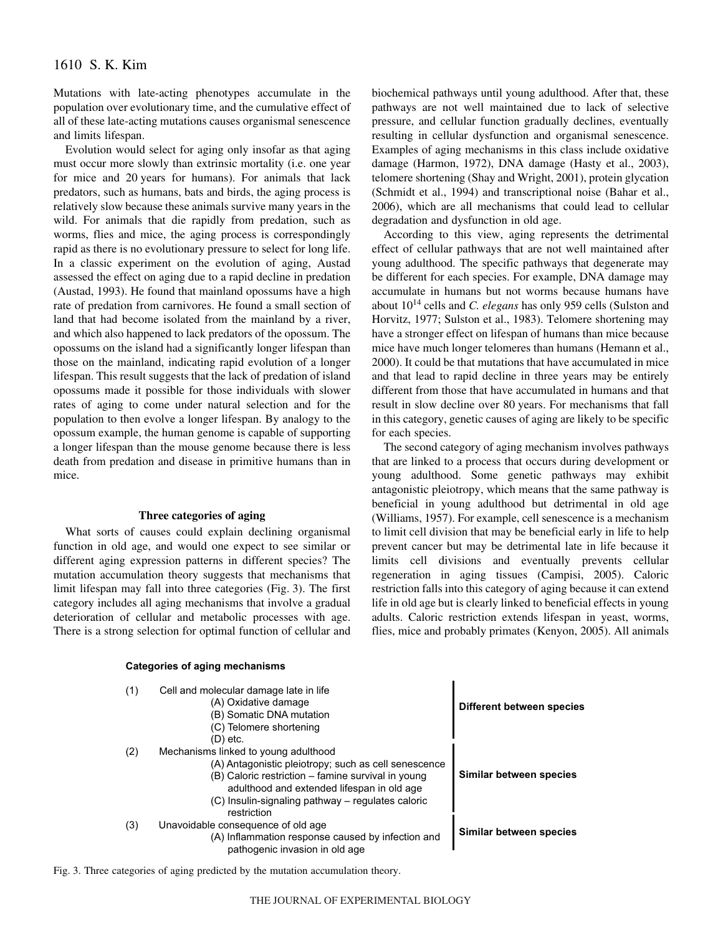# 1610 S. K. Kim

Mutations with late-acting phenotypes accumulate in the population over evolutionary time, and the cumulative effect of all of these late-acting mutations causes organismal senescence and limits lifespan.

Evolution would select for aging only insofar as that aging must occur more slowly than extrinsic mortality (i.e. one year for mice and 20 years for humans). For animals that lack predators, such as humans, bats and birds, the aging process is relatively slow because these animals survive many years in the wild. For animals that die rapidly from predation, such as worms, flies and mice, the aging process is correspondingly rapid as there is no evolutionary pressure to select for long life. In a classic experiment on the evolution of aging, Austad assessed the effect on aging due to a rapid decline in predation (Austad, 1993). He found that mainland opossums have a high rate of predation from carnivores. He found a small section of land that had become isolated from the mainland by a river, and which also happened to lack predators of the opossum. The opossums on the island had a significantly longer lifespan than those on the mainland, indicating rapid evolution of a longer lifespan. This result suggests that the lack of predation of island opossums made it possible for those individuals with slower rates of aging to come under natural selection and for the population to then evolve a longer lifespan. By analogy to the opossum example, the human genome is capable of supporting a longer lifespan than the mouse genome because there is less death from predation and disease in primitive humans than in mice.

#### **Three categories of aging**

What sorts of causes could explain declining organismal function in old age, and would one expect to see similar or different aging expression patterns in different species? The mutation accumulation theory suggests that mechanisms that limit lifespan may fall into three categories (Fig. 3). The first category includes all aging mechanisms that involve a gradual deterioration of cellular and metabolic processes with age. There is a strong selection for optimal function of cellular and biochemical pathways until young adulthood. After that, these pathways are not well maintained due to lack of selective pressure, and cellular function gradually declines, eventually resulting in cellular dysfunction and organismal senescence. Examples of aging mechanisms in this class include oxidative damage (Harmon, 1972), DNA damage (Hasty et al., 2003), telomere shortening (Shay and Wright, 2001), protein glycation (Schmidt et al., 1994) and transcriptional noise (Bahar et al., 2006), which are all mechanisms that could lead to cellular degradation and dysfunction in old age.

According to this view, aging represents the detrimental effect of cellular pathways that are not well maintained after young adulthood. The specific pathways that degenerate may be different for each species. For example, DNA damage may accumulate in humans but not worms because humans have about 1014 cells and *C. elegans* has only 959 cells (Sulston and Horvitz, 1977; Sulston et al., 1983). Telomere shortening may have a stronger effect on lifespan of humans than mice because mice have much longer telomeres than humans (Hemann et al., 2000). It could be that mutations that have accumulated in mice and that lead to rapid decline in three years may be entirely different from those that have accumulated in humans and that result in slow decline over 80 years. For mechanisms that fall in this category, genetic causes of aging are likely to be specific for each species.

The second category of aging mechanism involves pathways that are linked to a process that occurs during development or young adulthood. Some genetic pathways may exhibit antagonistic pleiotropy, which means that the same pathway is beneficial in young adulthood but detrimental in old age (Williams, 1957). For example, cell senescence is a mechanism to limit cell division that may be beneficial early in life to help prevent cancer but may be detrimental late in life because it limits cell divisions and eventually prevents cellular regeneration in aging tissues (Campisi, 2005). Caloric restriction falls into this category of aging because it can extend life in old age but is clearly linked to beneficial effects in young adults. Caloric restriction extends lifespan in yeast, worms, flies, mice and probably primates (Kenyon, 2005). All animals

# **Categories of aging mechanisms**

| (1) | Cell and molecular damage late in life<br>(A) Oxidative damage<br>(B) Somatic DNA mutation<br>(C) Telomere shortening<br>$(D)$ etc.                                                                                                                                  | <b>Different between species</b> |
|-----|----------------------------------------------------------------------------------------------------------------------------------------------------------------------------------------------------------------------------------------------------------------------|----------------------------------|
| (2) | Mechanisms linked to young adulthood<br>(A) Antagonistic pleiotropy; such as cell senescence<br>(B) Caloric restriction – famine survival in young<br>adulthood and extended lifespan in old age<br>(C) Insulin-signaling pathway - regulates caloric<br>restriction | Similar between species          |
| (3) | Unavoidable consequence of old age<br>(A) Inflammation response caused by infection and<br>pathogenic invasion in old age                                                                                                                                            | Similar between species          |

Fig. 3. Three categories of aging predicted by the mutation accumulation theory.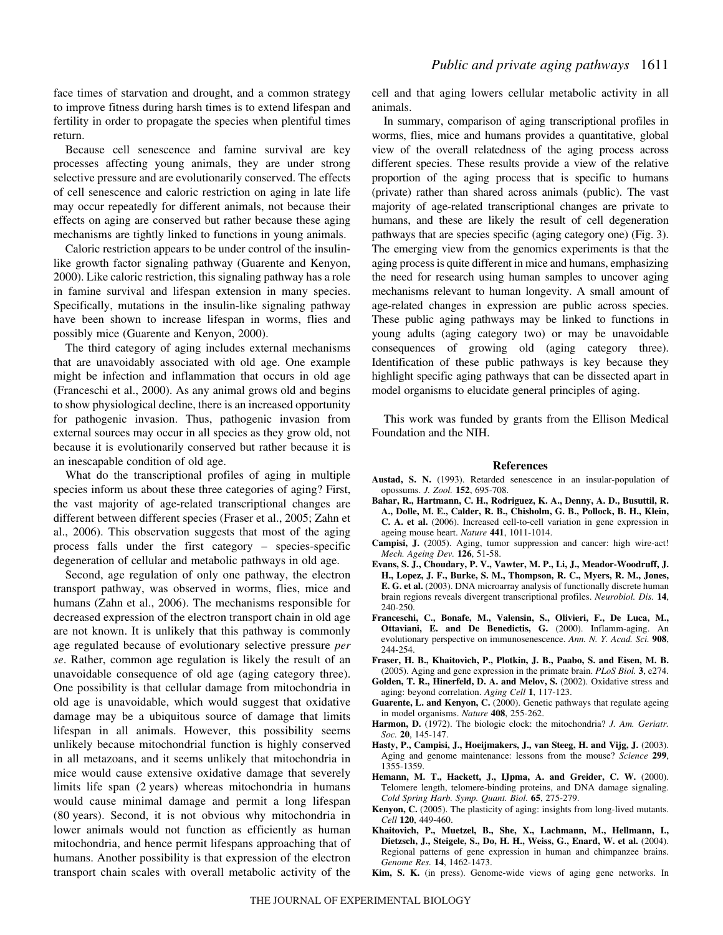face times of starvation and drought, and a common strategy to improve fitness during harsh times is to extend lifespan and fertility in order to propagate the species when plentiful times return.

Because cell senescence and famine survival are key processes affecting young animals, they are under strong selective pressure and are evolutionarily conserved. The effects of cell senescence and caloric restriction on aging in late life may occur repeatedly for different animals, not because their effects on aging are conserved but rather because these aging mechanisms are tightly linked to functions in young animals.

Caloric restriction appears to be under control of the insulinlike growth factor signaling pathway (Guarente and Kenyon, 2000). Like caloric restriction, this signaling pathway has a role in famine survival and lifespan extension in many species. Specifically, mutations in the insulin-like signaling pathway have been shown to increase lifespan in worms, flies and possibly mice (Guarente and Kenyon, 2000).

The third category of aging includes external mechanisms that are unavoidably associated with old age. One example might be infection and inflammation that occurs in old age (Franceschi et al., 2000). As any animal grows old and begins to show physiological decline, there is an increased opportunity for pathogenic invasion. Thus, pathogenic invasion from external sources may occur in all species as they grow old, not because it is evolutionarily conserved but rather because it is an inescapable condition of old age.

What do the transcriptional profiles of aging in multiple species inform us about these three categories of aging? First, the vast majority of age-related transcriptional changes are different between different species (Fraser et al., 2005; Zahn et al., 2006). This observation suggests that most of the aging process falls under the first category – species-specific degeneration of cellular and metabolic pathways in old age.

Second, age regulation of only one pathway, the electron transport pathway, was observed in worms, flies, mice and humans (Zahn et al., 2006). The mechanisms responsible for decreased expression of the electron transport chain in old age are not known. It is unlikely that this pathway is commonly age regulated because of evolutionary selective pressure *per se*. Rather, common age regulation is likely the result of an unavoidable consequence of old age (aging category three). One possibility is that cellular damage from mitochondria in old age is unavoidable, which would suggest that oxidative damage may be a ubiquitous source of damage that limits lifespan in all animals. However, this possibility seems unlikely because mitochondrial function is highly conserved in all metazoans, and it seems unlikely that mitochondria in mice would cause extensive oxidative damage that severely limits life span (2 years) whereas mitochondria in humans would cause minimal damage and permit a long lifespan (80 years). Second, it is not obvious why mitochondria in lower animals would not function as efficiently as human mitochondria, and hence permit lifespans approaching that of humans. Another possibility is that expression of the electron transport chain scales with overall metabolic activity of the cell and that aging lowers cellular metabolic activity in all animals.

In summary, comparison of aging transcriptional profiles in worms, flies, mice and humans provides a quantitative, global view of the overall relatedness of the aging process across different species. These results provide a view of the relative proportion of the aging process that is specific to humans (private) rather than shared across animals (public). The vast majority of age-related transcriptional changes are private to humans, and these are likely the result of cell degeneration pathways that are species specific (aging category one) (Fig. 3). The emerging view from the genomics experiments is that the aging process is quite different in mice and humans, emphasizing the need for research using human samples to uncover aging mechanisms relevant to human longevity. A small amount of age-related changes in expression are public across species. These public aging pathways may be linked to functions in young adults (aging category two) or may be unavoidable consequences of growing old (aging category three). Identification of these public pathways is key because they highlight specific aging pathways that can be dissected apart in model organisms to elucidate general principles of aging.

This work was funded by grants from the Ellison Medical Foundation and the NIH.

#### **References**

- **Austad, S. N.** (1993). Retarded senescence in an insular-population of opossums. *J. Zool.* **152**, 695-708.
- **Bahar, R., Hartmann, C. H., Rodriguez, K. A., Denny, A. D., Busuttil, R. A., Dolle, M. E., Calder, R. B., Chisholm, G. B., Pollock, B. H., Klein, C. A. et al.** (2006). Increased cell-to-cell variation in gene expression in ageing mouse heart. *Nature* **441**, 1011-1014.
- **Campisi, J.** (2005). Aging, tumor suppression and cancer: high wire-act! *Mech. Ageing Dev.* **126**, 51-58.
- **Evans, S. J., Choudary, P. V., Vawter, M. P., Li, J., Meador-Woodruff, J. H., Lopez, J. F., Burke, S. M., Thompson, R. C., Myers, R. M., Jones, E. G. et al.** (2003). DNA microarray analysis of functionally discrete human brain regions reveals divergent transcriptional profiles. *Neurobiol. Dis.* **14**, 240-250.
- **Franceschi, C., Bonafe, M., Valensin, S., Olivieri, F., De Luca, M., Ottaviani, E. and De Benedictis, G.** (2000). Inflamm-aging. An evolutionary perspective on immunosenescence. *Ann. N. Y. Acad. Sci.* **908**, 244-254.
- **Fraser, H. B., Khaitovich, P., Plotkin, J. B., Paabo, S. and Eisen, M. B.** (2005). Aging and gene expression in the primate brain. *PLoS Biol.* **3**, e274.
- **Golden, T. R., Hinerfeld, D. A. and Melov, S.** (2002). Oxidative stress and aging: beyond correlation. *Aging Cell* **1**, 117-123.
- **Guarente, L. and Kenyon, C.** (2000). Genetic pathways that regulate ageing in model organisms. *Nature* **408**, 255-262.
- **Harmon, D.** (1972). The biologic clock: the mitochondria? *J. Am. Geriatr. Soc.* **20**, 145-147.
- **Hasty, P., Campisi, J., Hoeijmakers, J., van Steeg, H. and Vijg, J.** (2003). Aging and genome maintenance: lessons from the mouse? *Science* **299**, 1355-1359.
- **Hemann, M. T., Hackett, J., IJpma, A. and Greider, C. W.** (2000). Telomere length, telomere-binding proteins, and DNA damage signaling. *Cold Spring Harb. Symp. Quant. Biol.* **65**, 275-279.
- **Kenyon, C.** (2005). The plasticity of aging: insights from long-lived mutants. *Cell* **120**, 449-460.
- **Khaitovich, P., Muetzel, B., She, X., Lachmann, M., Hellmann, I., Dietzsch, J., Steigele, S., Do, H. H., Weiss, G., Enard, W. et al.** (2004). Regional patterns of gene expression in human and chimpanzee brains. *Genome Res.* **14**, 1462-1473.
- **Kim, S. K.** (in press). Genome-wide views of aging gene networks. In